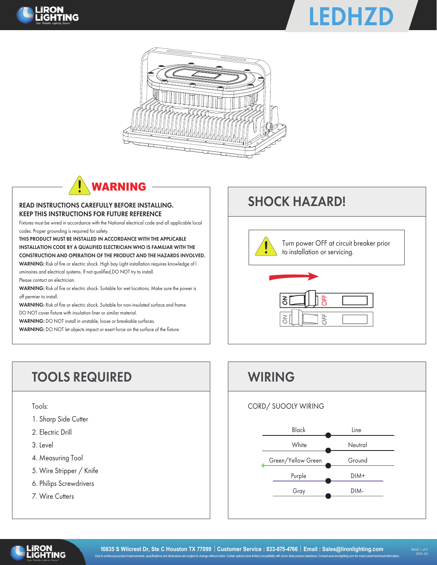





# WARNING

#### READ INSTRUCTIONS CAREFULLY BEFORE INSTALLING. KEEP THIS INSTRUCTIONS FOR FUTURE REFERENCE

Fixtures must be wired in accordance with the National electrical code and all applicable local codes. Proper grounding is required for safety.

THIS PRODUCT MUST BE INSTALLED IN ACCORDANCE WITH THE APPLICABLE INSTALLATION CODE BY A QUALIFIED ELECTRICIAN WHO IS FAMILIAR WITH THE CONSTRUCTION AND OPERATION OF THE PRODUCT AND THE HAZARDS INVOLVED.

WARNING: Risk of fire or electric shock. High bay Light installation requires knowledge of l uminaires and electrical systems. If not qualified,DO NOT try to install.

Please contact an electrician.

WARNING: Risk of fire or electric shock. Suitable for wet locations. Make sure the power is off permier to install.

WARNING: Risk of fire or electric shock. Suitable for non-insulated surface and frame.

DO NOT cover fixture with insulation liner or similar material.

WARNING: DO NOT install in unstable, loose or breakable surfaces.

WARNING: DO NOT let objects impact or exert force on the surface of the fixture.

### SHOCK HAZARD!



## TOOLS REQUIRED WIRING

Tools:

- 1. Sharp Side Cutter
- 2. Electric Drill
- 3. Level
- 4. Measuring Tool
- 5. Wire Stripper / Knife
- 6. Philips Screwdrivers
- 7. Wire Cutters





l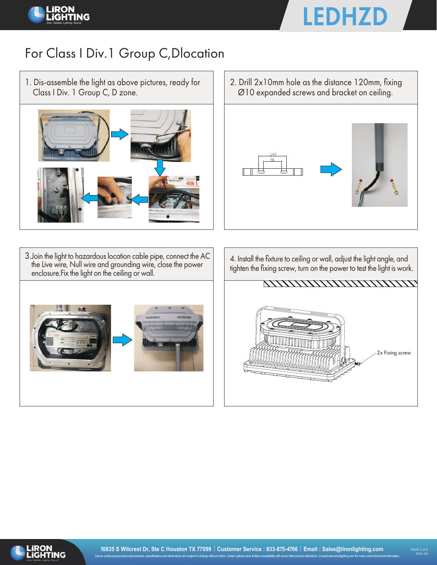



### For Class I Div.1 Group C,Dlocation

1. Dis-assemble the light as above pictures, ready for Class I Div. 1 Group C, D zone.



3.Join the light to hazardous location cable pipe, connect the AC the Live wire, Null wire and grounding wire, close the power enclosure.Fix the light on the ceiling or wall.



2. Drill 2x10mm hole as the distance 120mm, fixing Ø10 expanded screws and bracket on ceiling.



4. Install the fixture to ceiling or wall, adjust the light angle, and tighten the fixing screw, turn on the power to test the light is work.





l